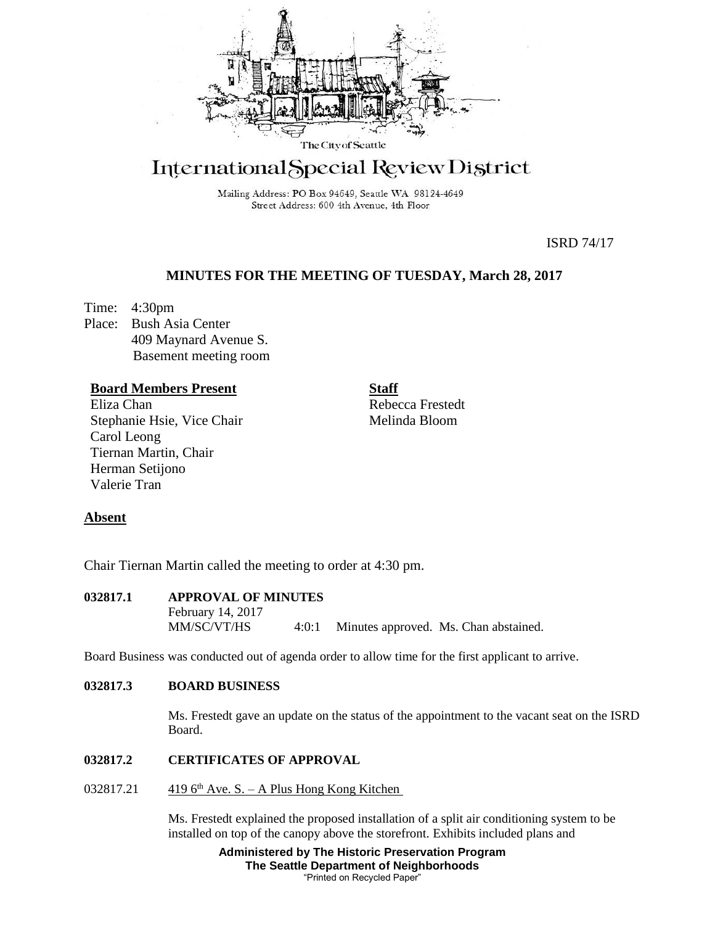

# International Special Review District

Mailing Address: PO Box 94649, Seattle WA 98124-4649 Street Address: 600 4th Avenue, 4th Floor

ISRD 74/17

# **MINUTES FOR THE MEETING OF TUESDAY, March 28, 2017**

Time: 4:30pm Place: Bush Asia Center 409 Maynard Avenue S. Basement meeting room

## **Board Members Present**

Eliza Chan Stephanie Hsie, Vice Chair Carol Leong Tiernan Martin, Chair Herman Setijono Valerie Tran

**Staff** Rebecca Frestedt

Melinda Bloom

## **Absent**

Chair Tiernan Martin called the meeting to order at 4:30 pm.

**032817.1 APPROVAL OF MINUTES** February 14, 2017 MM/SC/VT/HS 4:0:1 Minutes approved. Ms. Chan abstained.

Board Business was conducted out of agenda order to allow time for the first applicant to arrive.

## **032817.3 BOARD BUSINESS**

Ms. Frestedt gave an update on the status of the appointment to the vacant seat on the ISRD Board.

#### **032817.2 CERTIFICATES OF APPROVAL**

032817.21  $4196^{\text{th}}$  Ave. S. – A Plus Hong Kong Kitchen

Ms. Frestedt explained the proposed installation of a split air conditioning system to be installed on top of the canopy above the storefront. Exhibits included plans and

> **Administered by The Historic Preservation Program The Seattle Department of Neighborhoods** "Printed on Recycled Paper"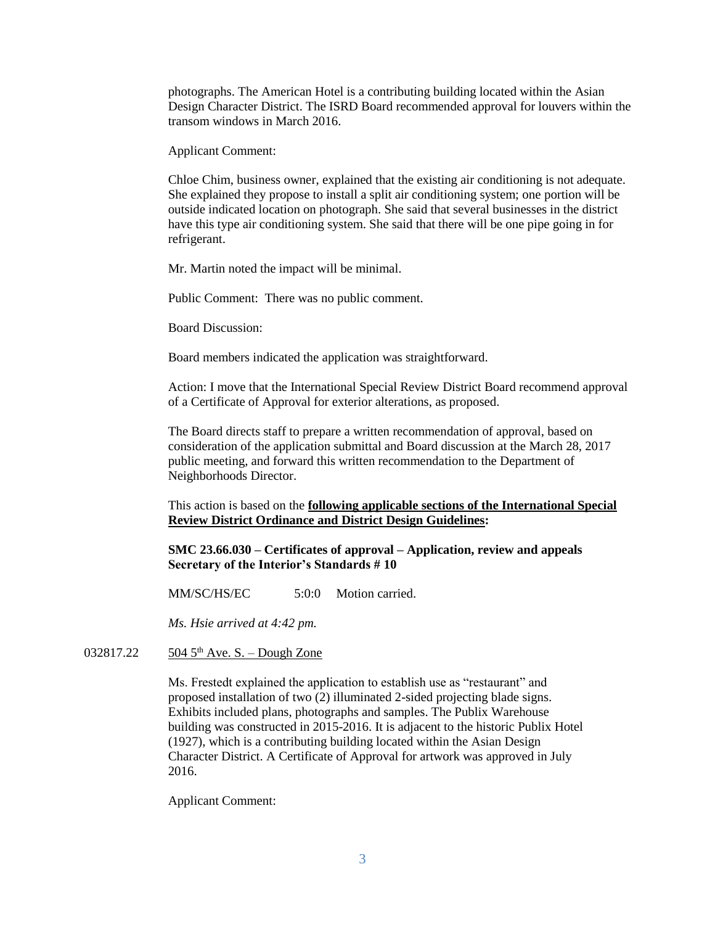photographs. The American Hotel is a contributing building located within the Asian Design Character District. The ISRD Board recommended approval for louvers within the transom windows in March 2016.

Applicant Comment:

Chloe Chim, business owner, explained that the existing air conditioning is not adequate. She explained they propose to install a split air conditioning system; one portion will be outside indicated location on photograph. She said that several businesses in the district have this type air conditioning system. She said that there will be one pipe going in for refrigerant.

Mr. Martin noted the impact will be minimal.

Public Comment: There was no public comment.

Board Discussion:

Board members indicated the application was straightforward.

Action: I move that the International Special Review District Board recommend approval of a Certificate of Approval for exterior alterations, as proposed.

The Board directs staff to prepare a written recommendation of approval, based on consideration of the application submittal and Board discussion at the March 28, 2017 public meeting, and forward this written recommendation to the Department of Neighborhoods Director.

This action is based on the **following applicable sections of the International Special Review District Ordinance and District Design Guidelines:** 

**SMC 23.66.030 – Certificates of approval – Application, review and appeals Secretary of the Interior's Standards # 10**

MM/SC/HS/EC 5:0:0 Motion carried.

*Ms. Hsie arrived at 4:42 pm.*

032817.22  $504.5^{\text{th}}$  Ave. S. – Dough Zone

Ms. Frestedt explained the application to establish use as "restaurant" and proposed installation of two (2) illuminated 2-sided projecting blade signs. Exhibits included plans, photographs and samples. The Publix Warehouse building was constructed in 2015-2016. It is adjacent to the historic Publix Hotel (1927), which is a contributing building located within the Asian Design Character District. A Certificate of Approval for artwork was approved in July 2016.

Applicant Comment: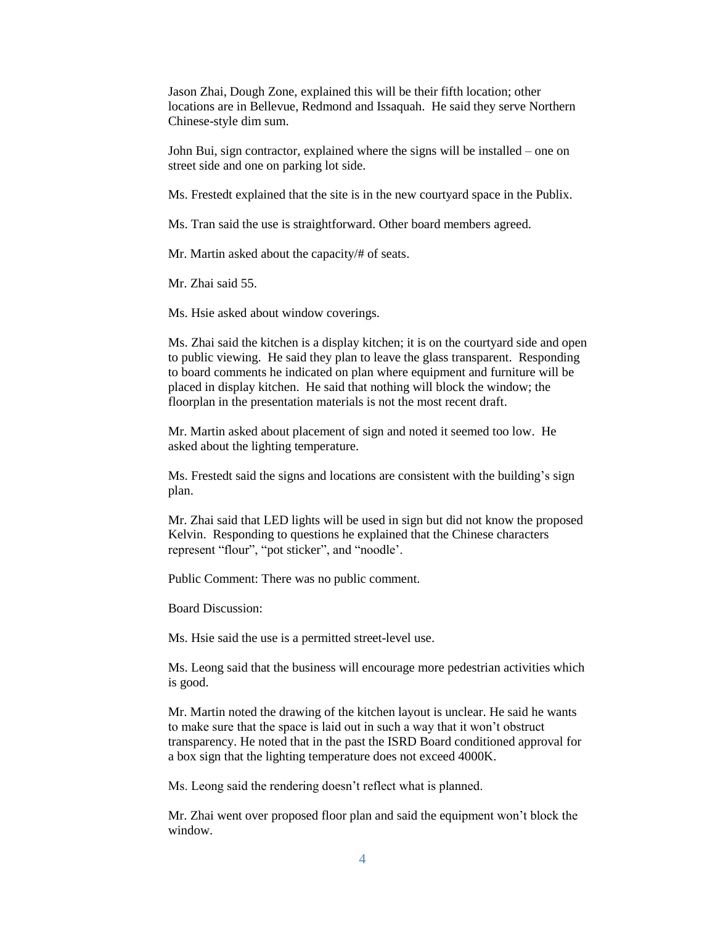Jason Zhai, Dough Zone, explained this will be their fifth location; other locations are in Bellevue, Redmond and Issaquah. He said they serve Northern Chinese-style dim sum.

John Bui, sign contractor, explained where the signs will be installed – one on street side and one on parking lot side.

Ms. Frestedt explained that the site is in the new courtyard space in the Publix.

Ms. Tran said the use is straightforward. Other board members agreed.

Mr. Martin asked about the capacity/# of seats.

Mr. Zhai said 55.

Ms. Hsie asked about window coverings.

Ms. Zhai said the kitchen is a display kitchen; it is on the courtyard side and open to public viewing. He said they plan to leave the glass transparent. Responding to board comments he indicated on plan where equipment and furniture will be placed in display kitchen. He said that nothing will block the window; the floorplan in the presentation materials is not the most recent draft.

Mr. Martin asked about placement of sign and noted it seemed too low. He asked about the lighting temperature.

Ms. Frestedt said the signs and locations are consistent with the building's sign plan.

Mr. Zhai said that LED lights will be used in sign but did not know the proposed Kelvin. Responding to questions he explained that the Chinese characters represent "flour", "pot sticker", and "noodle'.

Public Comment: There was no public comment.

Board Discussion:

Ms. Hsie said the use is a permitted street-level use.

Ms. Leong said that the business will encourage more pedestrian activities which is good.

Mr. Martin noted the drawing of the kitchen layout is unclear. He said he wants to make sure that the space is laid out in such a way that it won't obstruct transparency. He noted that in the past the ISRD Board conditioned approval for a box sign that the lighting temperature does not exceed 4000K.

Ms. Leong said the rendering doesn't reflect what is planned.

Mr. Zhai went over proposed floor plan and said the equipment won't block the window.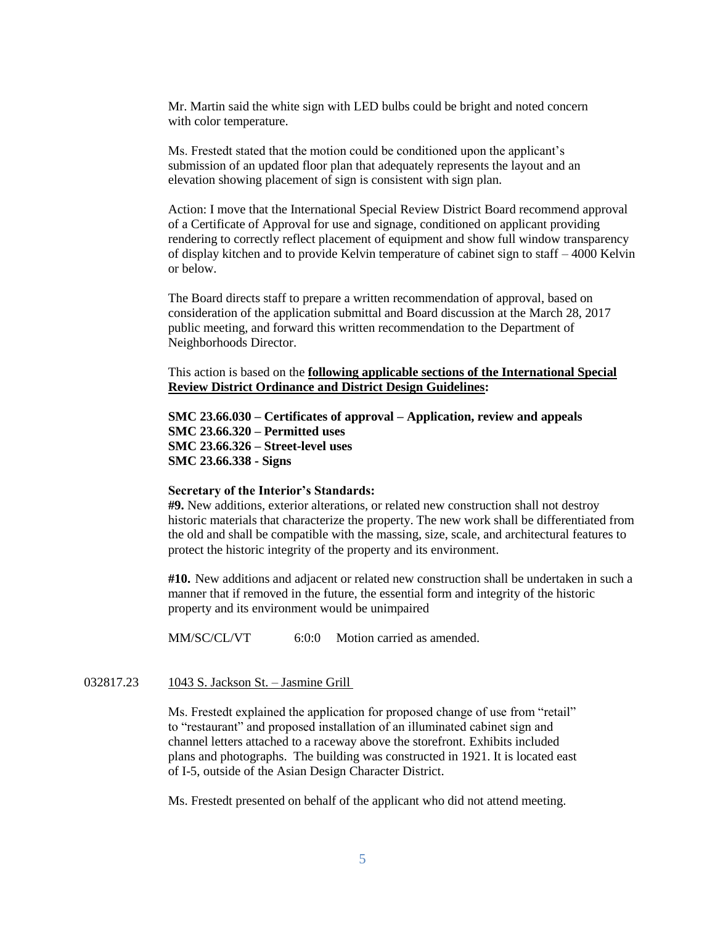Mr. Martin said the white sign with LED bulbs could be bright and noted concern with color temperature.

Ms. Frestedt stated that the motion could be conditioned upon the applicant's submission of an updated floor plan that adequately represents the layout and an elevation showing placement of sign is consistent with sign plan.

Action: I move that the International Special Review District Board recommend approval of a Certificate of Approval for use and signage, conditioned on applicant providing rendering to correctly reflect placement of equipment and show full window transparency of display kitchen and to provide Kelvin temperature of cabinet sign to staff – 4000 Kelvin or below.

The Board directs staff to prepare a written recommendation of approval, based on consideration of the application submittal and Board discussion at the March 28, 2017 public meeting, and forward this written recommendation to the Department of Neighborhoods Director.

This action is based on the **following applicable sections of the International Special Review District Ordinance and District Design Guidelines:** 

**SMC 23.66.030 – Certificates of approval – Application, review and appeals SMC 23.66.320 – Permitted uses SMC 23.66.326 – Street-level uses SMC 23.66.338 - Signs**

#### **Secretary of the Interior's Standards:**

**#9.** New additions, exterior alterations, or related new construction shall not destroy historic materials that characterize the property. The new work shall be differentiated from the old and shall be compatible with the massing, size, scale, and architectural features to protect the historic integrity of the property and its environment.

**#10.** New additions and adjacent or related new construction shall be undertaken in such a manner that if removed in the future, the essential form and integrity of the historic property and its environment would be unimpaired

MM/SC/CL/VT 6:0:0 Motion carried as amended.

#### 032817.23 1043 S. Jackson St. – Jasmine Grill

Ms. Frestedt explained the application for proposed change of use from "retail" to "restaurant" and proposed installation of an illuminated cabinet sign and channel letters attached to a raceway above the storefront. Exhibits included plans and photographs. The building was constructed in 1921. It is located east of I-5, outside of the Asian Design Character District.

Ms. Frestedt presented on behalf of the applicant who did not attend meeting.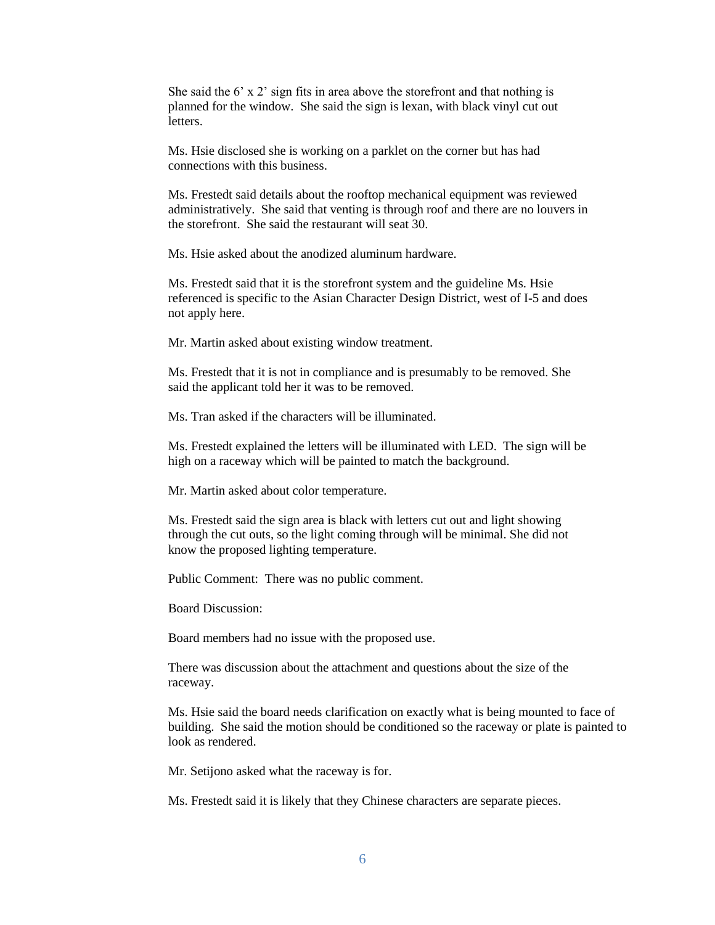She said the 6' x 2' sign fits in area above the storefront and that nothing is planned for the window. She said the sign is lexan, with black vinyl cut out letters.

Ms. Hsie disclosed she is working on a parklet on the corner but has had connections with this business.

Ms. Frestedt said details about the rooftop mechanical equipment was reviewed administratively. She said that venting is through roof and there are no louvers in the storefront. She said the restaurant will seat 30.

Ms. Hsie asked about the anodized aluminum hardware.

Ms. Frestedt said that it is the storefront system and the guideline Ms. Hsie referenced is specific to the Asian Character Design District, west of I-5 and does not apply here.

Mr. Martin asked about existing window treatment.

Ms. Frestedt that it is not in compliance and is presumably to be removed. She said the applicant told her it was to be removed.

Ms. Tran asked if the characters will be illuminated.

Ms. Frestedt explained the letters will be illuminated with LED. The sign will be high on a raceway which will be painted to match the background.

Mr. Martin asked about color temperature.

Ms. Frestedt said the sign area is black with letters cut out and light showing through the cut outs, so the light coming through will be minimal. She did not know the proposed lighting temperature.

Public Comment: There was no public comment.

Board Discussion:

Board members had no issue with the proposed use.

There was discussion about the attachment and questions about the size of the raceway.

Ms. Hsie said the board needs clarification on exactly what is being mounted to face of building. She said the motion should be conditioned so the raceway or plate is painted to look as rendered.

Mr. Setijono asked what the raceway is for.

Ms. Frestedt said it is likely that they Chinese characters are separate pieces.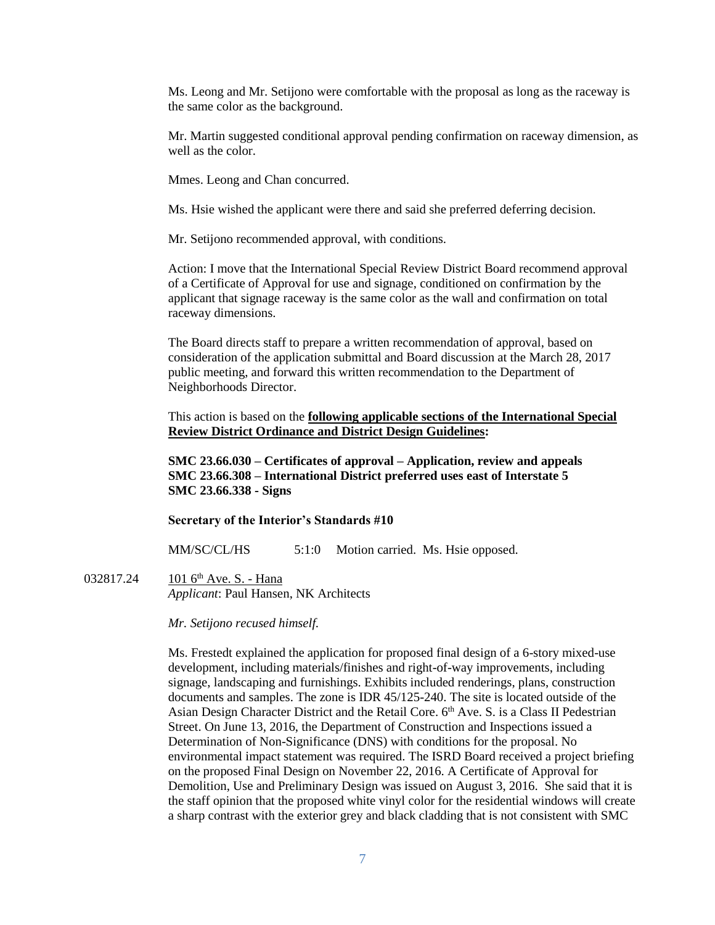Ms. Leong and Mr. Setijono were comfortable with the proposal as long as the raceway is the same color as the background.

Mr. Martin suggested conditional approval pending confirmation on raceway dimension, as well as the color.

Mmes. Leong and Chan concurred.

Ms. Hsie wished the applicant were there and said she preferred deferring decision.

Mr. Setijono recommended approval, with conditions.

Action: I move that the International Special Review District Board recommend approval of a Certificate of Approval for use and signage, conditioned on confirmation by the applicant that signage raceway is the same color as the wall and confirmation on total raceway dimensions.

The Board directs staff to prepare a written recommendation of approval, based on consideration of the application submittal and Board discussion at the March 28, 2017 public meeting, and forward this written recommendation to the Department of Neighborhoods Director.

This action is based on the **following applicable sections of the International Special Review District Ordinance and District Design Guidelines:** 

**SMC 23.66.030 – Certificates of approval – Application, review and appeals SMC 23.66.308 – International District preferred uses east of Interstate 5 SMC 23.66.338 - Signs**

#### **Secretary of the Interior's Standards #10**

MM/SC/CL/HS 5:1:0 Motion carried. Ms. Hsie opposed.

032817.24 101 6<sup>th</sup> Ave. S. - Hana *Applicant*: Paul Hansen, NK Architects

*Mr. Setijono recused himself.*

Ms. Frestedt explained the application for proposed final design of a 6-story mixed-use development, including materials/finishes and right-of-way improvements, including signage, landscaping and furnishings. Exhibits included renderings, plans, construction documents and samples. The zone is IDR 45/125-240. The site is located outside of the Asian Design Character District and the Retail Core. 6<sup>th</sup> Ave. S. is a Class II Pedestrian Street. On June 13, 2016, the Department of Construction and Inspections issued a Determination of Non-Significance (DNS) with conditions for the proposal. No environmental impact statement was required. The ISRD Board received a project briefing on the proposed Final Design on November 22, 2016. A Certificate of Approval for Demolition, Use and Preliminary Design was issued on August 3, 2016. She said that it is the staff opinion that the proposed white vinyl color for the residential windows will create a sharp contrast with the exterior grey and black cladding that is not consistent with SMC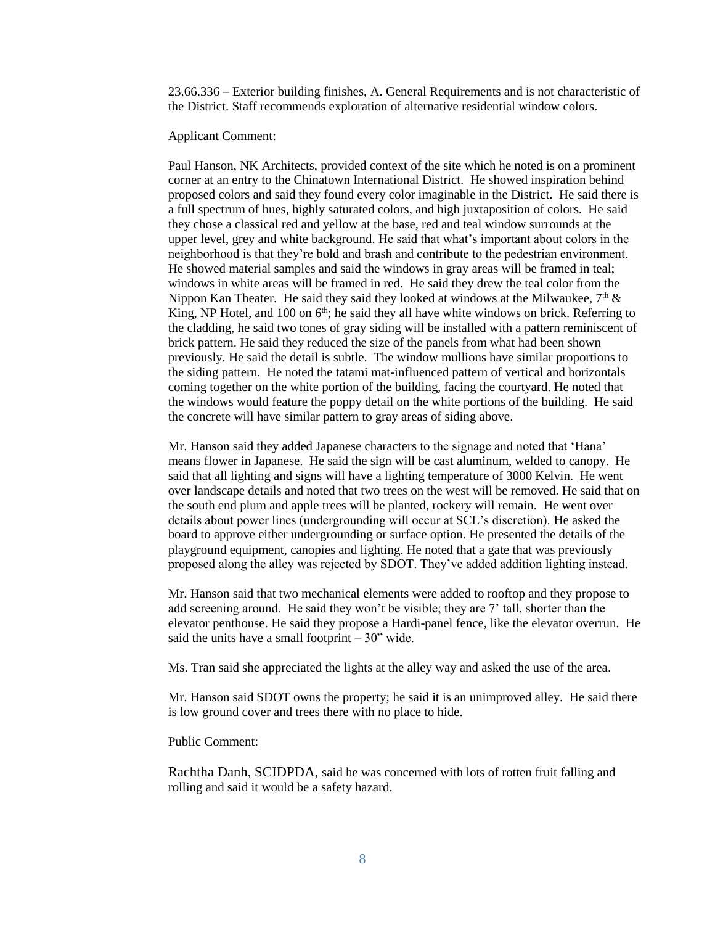23.66.336 – Exterior building finishes, A. General Requirements and is not characteristic of the District. Staff recommends exploration of alternative residential window colors.

Applicant Comment:

Paul Hanson, NK Architects, provided context of the site which he noted is on a prominent corner at an entry to the Chinatown International District. He showed inspiration behind proposed colors and said they found every color imaginable in the District. He said there is a full spectrum of hues, highly saturated colors, and high juxtaposition of colors. He said they chose a classical red and yellow at the base, red and teal window surrounds at the upper level, grey and white background. He said that what's important about colors in the neighborhood is that they're bold and brash and contribute to the pedestrian environment. He showed material samples and said the windows in gray areas will be framed in teal; windows in white areas will be framed in red. He said they drew the teal color from the Nippon Kan Theater. He said they said they looked at windows at the Milwaukee,  $7<sup>th</sup>$  & King, NP Hotel, and 100 on  $6<sup>th</sup>$ ; he said they all have white windows on brick. Referring to the cladding, he said two tones of gray siding will be installed with a pattern reminiscent of brick pattern. He said they reduced the size of the panels from what had been shown previously. He said the detail is subtle. The window mullions have similar proportions to the siding pattern. He noted the tatami mat-influenced pattern of vertical and horizontals coming together on the white portion of the building, facing the courtyard. He noted that the windows would feature the poppy detail on the white portions of the building. He said the concrete will have similar pattern to gray areas of siding above.

Mr. Hanson said they added Japanese characters to the signage and noted that 'Hana' means flower in Japanese. He said the sign will be cast aluminum, welded to canopy. He said that all lighting and signs will have a lighting temperature of 3000 Kelvin. He went over landscape details and noted that two trees on the west will be removed. He said that on the south end plum and apple trees will be planted, rockery will remain. He went over details about power lines (undergrounding will occur at SCL's discretion). He asked the board to approve either undergrounding or surface option. He presented the details of the playground equipment, canopies and lighting. He noted that a gate that was previously proposed along the alley was rejected by SDOT. They've added addition lighting instead.

Mr. Hanson said that two mechanical elements were added to rooftop and they propose to add screening around. He said they won't be visible; they are 7' tall, shorter than the elevator penthouse. He said they propose a Hardi-panel fence, like the elevator overrun. He said the units have a small footprint  $-30$ " wide.

Ms. Tran said she appreciated the lights at the alley way and asked the use of the area.

Mr. Hanson said SDOT owns the property; he said it is an unimproved alley. He said there is low ground cover and trees there with no place to hide.

Public Comment:

Rachtha Danh, SCIDPDA, said he was concerned with lots of rotten fruit falling and rolling and said it would be a safety hazard.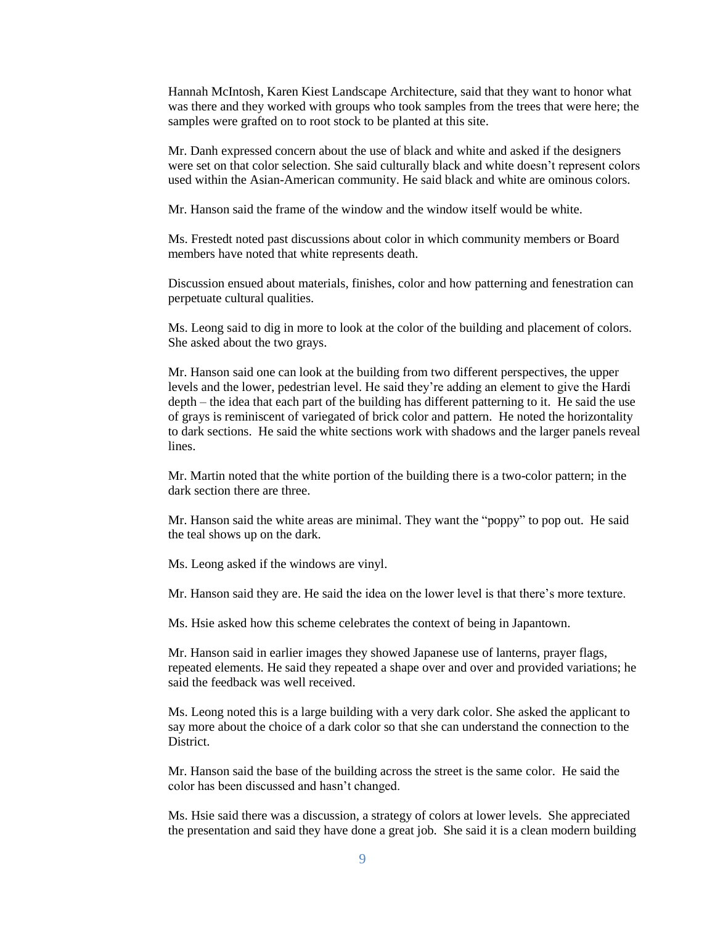Hannah McIntosh, Karen Kiest Landscape Architecture, said that they want to honor what was there and they worked with groups who took samples from the trees that were here; the samples were grafted on to root stock to be planted at this site.

Mr. Danh expressed concern about the use of black and white and asked if the designers were set on that color selection. She said culturally black and white doesn't represent colors used within the Asian-American community. He said black and white are ominous colors.

Mr. Hanson said the frame of the window and the window itself would be white.

Ms. Frestedt noted past discussions about color in which community members or Board members have noted that white represents death.

Discussion ensued about materials, finishes, color and how patterning and fenestration can perpetuate cultural qualities.

Ms. Leong said to dig in more to look at the color of the building and placement of colors. She asked about the two grays.

Mr. Hanson said one can look at the building from two different perspectives, the upper levels and the lower, pedestrian level. He said they're adding an element to give the Hardi depth – the idea that each part of the building has different patterning to it. He said the use of grays is reminiscent of variegated of brick color and pattern. He noted the horizontality to dark sections. He said the white sections work with shadows and the larger panels reveal lines.

Mr. Martin noted that the white portion of the building there is a two-color pattern; in the dark section there are three.

Mr. Hanson said the white areas are minimal. They want the "poppy" to pop out. He said the teal shows up on the dark.

Ms. Leong asked if the windows are vinyl.

Mr. Hanson said they are. He said the idea on the lower level is that there's more texture.

Ms. Hsie asked how this scheme celebrates the context of being in Japantown.

Mr. Hanson said in earlier images they showed Japanese use of lanterns, prayer flags, repeated elements. He said they repeated a shape over and over and provided variations; he said the feedback was well received.

Ms. Leong noted this is a large building with a very dark color. She asked the applicant to say more about the choice of a dark color so that she can understand the connection to the **District** 

Mr. Hanson said the base of the building across the street is the same color. He said the color has been discussed and hasn't changed.

Ms. Hsie said there was a discussion, a strategy of colors at lower levels. She appreciated the presentation and said they have done a great job. She said it is a clean modern building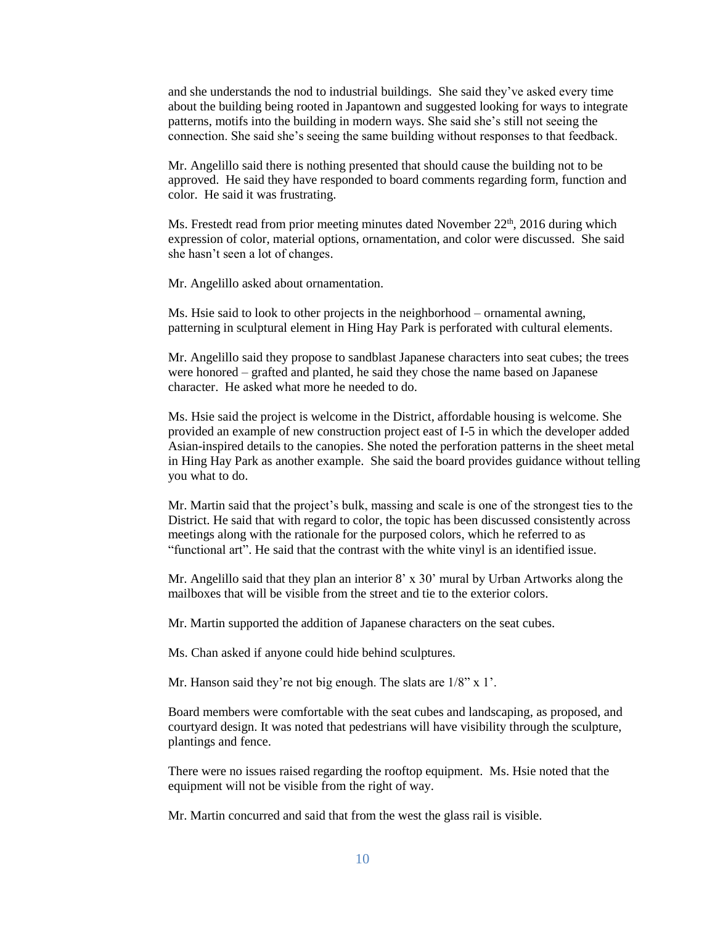and she understands the nod to industrial buildings. She said they've asked every time about the building being rooted in Japantown and suggested looking for ways to integrate patterns, motifs into the building in modern ways. She said she's still not seeing the connection. She said she's seeing the same building without responses to that feedback.

Mr. Angelillo said there is nothing presented that should cause the building not to be approved. He said they have responded to board comments regarding form, function and color. He said it was frustrating.

Ms. Frestedt read from prior meeting minutes dated November  $22<sup>th</sup>$ , 2016 during which expression of color, material options, ornamentation, and color were discussed. She said she hasn't seen a lot of changes.

Mr. Angelillo asked about ornamentation.

Ms. Hsie said to look to other projects in the neighborhood – ornamental awning, patterning in sculptural element in Hing Hay Park is perforated with cultural elements.

Mr. Angelillo said they propose to sandblast Japanese characters into seat cubes; the trees were honored – grafted and planted, he said they chose the name based on Japanese character. He asked what more he needed to do.

Ms. Hsie said the project is welcome in the District, affordable housing is welcome. She provided an example of new construction project east of I-5 in which the developer added Asian-inspired details to the canopies. She noted the perforation patterns in the sheet metal in Hing Hay Park as another example. She said the board provides guidance without telling you what to do.

Mr. Martin said that the project's bulk, massing and scale is one of the strongest ties to the District. He said that with regard to color, the topic has been discussed consistently across meetings along with the rationale for the purposed colors, which he referred to as "functional art". He said that the contrast with the white vinyl is an identified issue.

Mr. Angelillo said that they plan an interior  $8' \times 30'$  mural by Urban Artworks along the mailboxes that will be visible from the street and tie to the exterior colors.

Mr. Martin supported the addition of Japanese characters on the seat cubes.

Ms. Chan asked if anyone could hide behind sculptures.

Mr. Hanson said they're not big enough. The slats are  $1/8$ " x 1'.

Board members were comfortable with the seat cubes and landscaping, as proposed, and courtyard design. It was noted that pedestrians will have visibility through the sculpture, plantings and fence.

There were no issues raised regarding the rooftop equipment. Ms. Hsie noted that the equipment will not be visible from the right of way.

Mr. Martin concurred and said that from the west the glass rail is visible.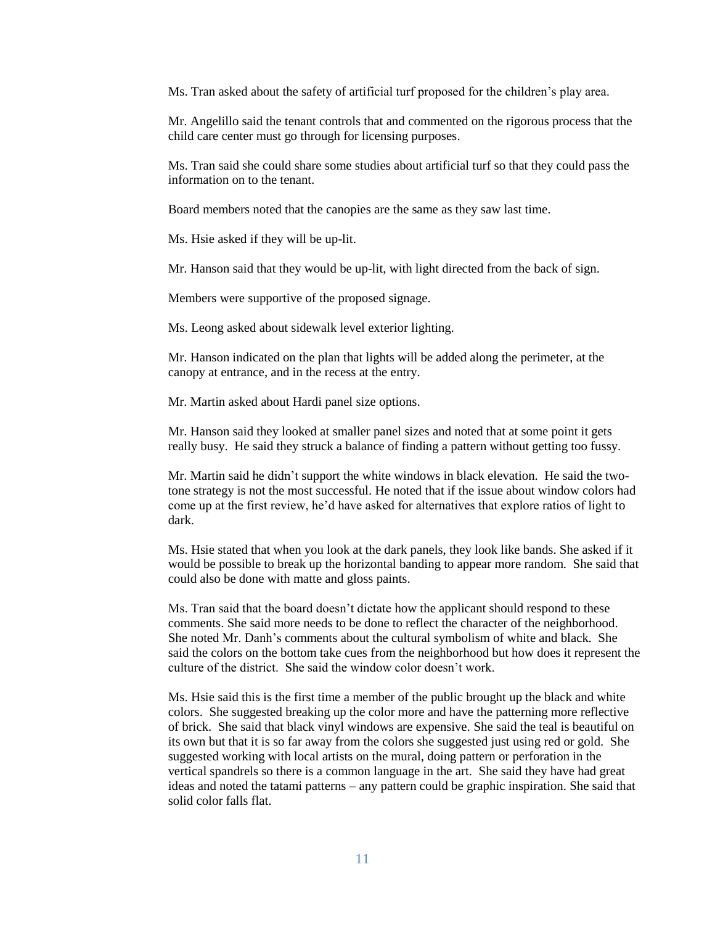Ms. Tran asked about the safety of artificial turf proposed for the children's play area.

Mr. Angelillo said the tenant controls that and commented on the rigorous process that the child care center must go through for licensing purposes.

Ms. Tran said she could share some studies about artificial turf so that they could pass the information on to the tenant.

Board members noted that the canopies are the same as they saw last time.

Ms. Hsie asked if they will be up-lit.

Mr. Hanson said that they would be up-lit, with light directed from the back of sign.

Members were supportive of the proposed signage.

Ms. Leong asked about sidewalk level exterior lighting.

Mr. Hanson indicated on the plan that lights will be added along the perimeter, at the canopy at entrance, and in the recess at the entry.

Mr. Martin asked about Hardi panel size options.

Mr. Hanson said they looked at smaller panel sizes and noted that at some point it gets really busy. He said they struck a balance of finding a pattern without getting too fussy.

Mr. Martin said he didn't support the white windows in black elevation. He said the twotone strategy is not the most successful. He noted that if the issue about window colors had come up at the first review, he'd have asked for alternatives that explore ratios of light to dark.

Ms. Hsie stated that when you look at the dark panels, they look like bands. She asked if it would be possible to break up the horizontal banding to appear more random. She said that could also be done with matte and gloss paints.

Ms. Tran said that the board doesn't dictate how the applicant should respond to these comments. She said more needs to be done to reflect the character of the neighborhood. She noted Mr. Danh's comments about the cultural symbolism of white and black. She said the colors on the bottom take cues from the neighborhood but how does it represent the culture of the district. She said the window color doesn't work.

Ms. Hsie said this is the first time a member of the public brought up the black and white colors. She suggested breaking up the color more and have the patterning more reflective of brick. She said that black vinyl windows are expensive. She said the teal is beautiful on its own but that it is so far away from the colors she suggested just using red or gold. She suggested working with local artists on the mural, doing pattern or perforation in the vertical spandrels so there is a common language in the art. She said they have had great ideas and noted the tatami patterns – any pattern could be graphic inspiration. She said that solid color falls flat.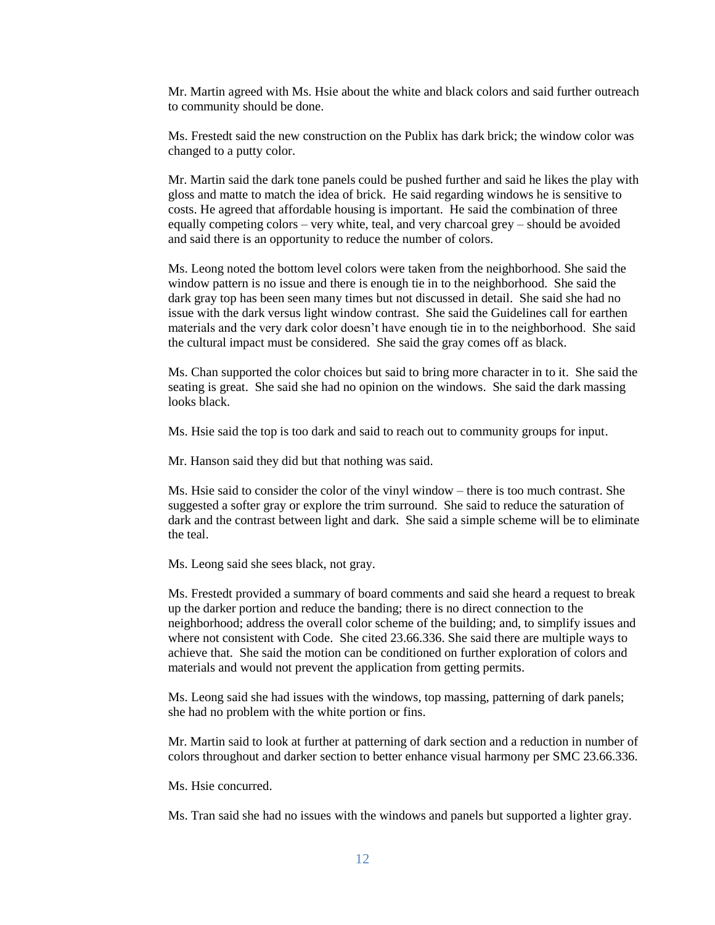Mr. Martin agreed with Ms. Hsie about the white and black colors and said further outreach to community should be done.

Ms. Frestedt said the new construction on the Publix has dark brick; the window color was changed to a putty color.

Mr. Martin said the dark tone panels could be pushed further and said he likes the play with gloss and matte to match the idea of brick. He said regarding windows he is sensitive to costs. He agreed that affordable housing is important. He said the combination of three equally competing colors – very white, teal, and very charcoal grey – should be avoided and said there is an opportunity to reduce the number of colors.

Ms. Leong noted the bottom level colors were taken from the neighborhood. She said the window pattern is no issue and there is enough tie in to the neighborhood. She said the dark gray top has been seen many times but not discussed in detail. She said she had no issue with the dark versus light window contrast. She said the Guidelines call for earthen materials and the very dark color doesn't have enough tie in to the neighborhood. She said the cultural impact must be considered. She said the gray comes off as black.

Ms. Chan supported the color choices but said to bring more character in to it. She said the seating is great. She said she had no opinion on the windows. She said the dark massing looks black.

Ms. Hsie said the top is too dark and said to reach out to community groups for input.

Mr. Hanson said they did but that nothing was said.

Ms. Hsie said to consider the color of the vinyl window – there is too much contrast. She suggested a softer gray or explore the trim surround. She said to reduce the saturation of dark and the contrast between light and dark. She said a simple scheme will be to eliminate the teal.

Ms. Leong said she sees black, not gray.

Ms. Frestedt provided a summary of board comments and said she heard a request to break up the darker portion and reduce the banding; there is no direct connection to the neighborhood; address the overall color scheme of the building; and, to simplify issues and where not consistent with Code. She cited 23.66.336. She said there are multiple ways to achieve that. She said the motion can be conditioned on further exploration of colors and materials and would not prevent the application from getting permits.

Ms. Leong said she had issues with the windows, top massing, patterning of dark panels; she had no problem with the white portion or fins.

Mr. Martin said to look at further at patterning of dark section and a reduction in number of colors throughout and darker section to better enhance visual harmony per SMC 23.66.336.

Ms. Hsie concurred.

Ms. Tran said she had no issues with the windows and panels but supported a lighter gray.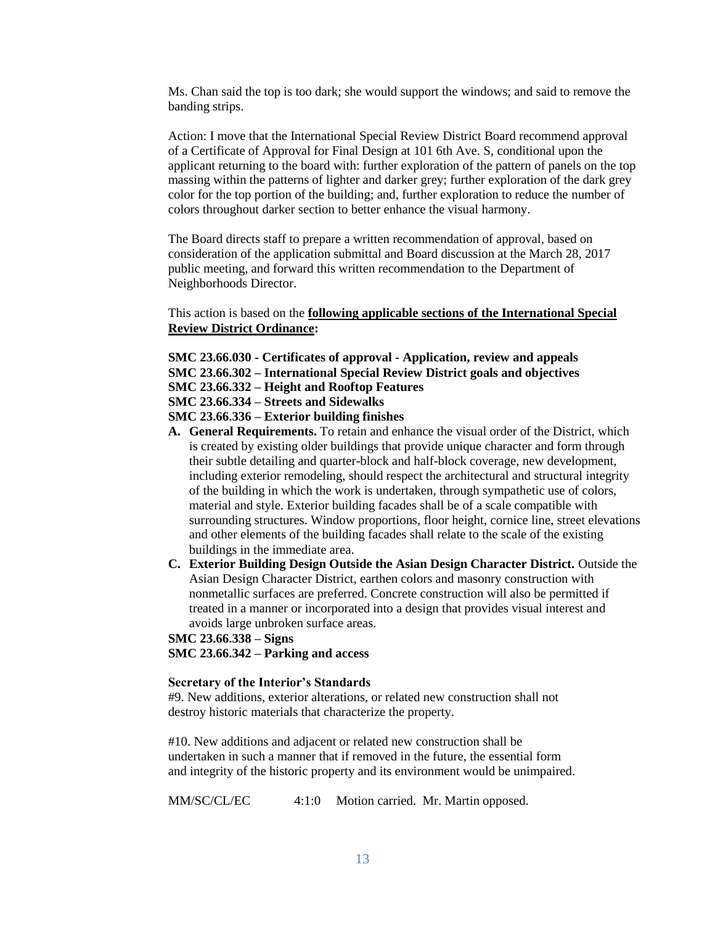Ms. Chan said the top is too dark; she would support the windows; and said to remove the banding strips.

Action: I move that the International Special Review District Board recommend approval of a Certificate of Approval for Final Design at 101 6th Ave. S, conditional upon the applicant returning to the board with: further exploration of the pattern of panels on the top massing within the patterns of lighter and darker grey; further exploration of the dark grey color for the top portion of the building; and, further exploration to reduce the number of colors throughout darker section to better enhance the visual harmony.

The Board directs staff to prepare a written recommendation of approval, based on consideration of the application submittal and Board discussion at the March 28, 2017 public meeting, and forward this written recommendation to the Department of Neighborhoods Director.

This action is based on the **following applicable sections of the International Special Review District Ordinance:** 

- **SMC 23.66.030 - Certificates of approval - Application, review and appeals**
- **SMC 23.66.302 – International Special Review District goals and objectives**
- **SMC 23.66.332 – Height and Rooftop Features**
- **SMC 23.66.334 – Streets and Sidewalks**

**SMC 23.66.336 – Exterior building finishes**

- **A. General Requirements.** To retain and enhance the visual order of the District, which is created by existing older buildings that provide unique character and form through their subtle detailing and quarter-block and half-block coverage, new development, including exterior remodeling, should respect the architectural and structural integrity of the building in which the work is undertaken, through sympathetic use of colors, material and style. Exterior building facades shall be of a scale compatible with surrounding structures. Window proportions, floor height, cornice line, street elevations and other elements of the building facades shall relate to the scale of the existing buildings in the immediate area.
- **C. Exterior Building Design Outside the Asian Design Character District.** Outside the Asian Design Character District, earthen colors and masonry construction with nonmetallic surfaces are preferred. Concrete construction will also be permitted if treated in a manner or incorporated into a design that provides visual interest and avoids large unbroken surface areas.

**SMC 23.66.338 – Signs SMC 23.66.342 – Parking and access**

#### **Secretary of the Interior's Standards**

#9. New additions, exterior alterations, or related new construction shall not destroy historic materials that characterize the property.

#10. New additions and adjacent or related new construction shall be undertaken in such a manner that if removed in the future, the essential form and integrity of the historic property and its environment would be unimpaired.

MM/SC/CL/EC 4:1:0 Motion carried. Mr. Martin opposed.